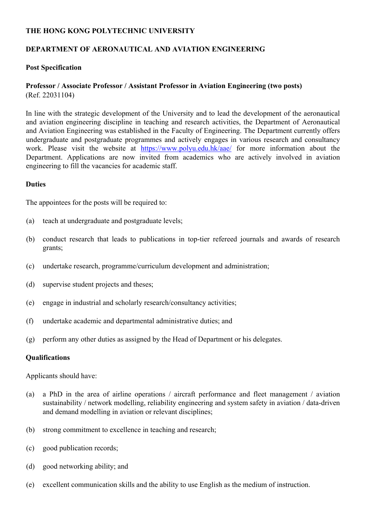# **THE HONG KONG POLYTECHNIC UNIVERSITY**

# **DEPARTMENT OF AERONAUTICAL AND AVIATION ENGINEERING**

## **Post Specification**

## **Professor / Associate Professor / Assistant Professor in Aviation Engineering (two posts)** (Ref. 22031104)

In line with the strategic development of the University and to lead the development of the aeronautical and aviation engineering discipline in teaching and research activities, the Department of Aeronautical and Aviation Engineering was established in the Faculty of Engineering. The Department currently offers undergraduate and postgraduate programmes and actively engages in various research and consultancy work. Please visit the website at https://www.polyu.edu.hk/aae/ for more information about the Department. Applications are now invited from academics who are actively involved in aviation engineering to fill the vacancies for academic staff.

### **Duties**

The appointees for the posts will be required to:

- (a) teach at undergraduate and postgraduate levels;
- (b) conduct research that leads to publications in top-tier refereed journals and awards of research grants;
- (c) undertake research, programme/curriculum development and administration;
- (d) supervise student projects and theses;
- (e) engage in industrial and scholarly research/consultancy activities;
- (f) undertake academic and departmental administrative duties; and
- (g) perform any other duties as assigned by the Head of Department or his delegates.

#### **Qualifications**

Applicants should have:

- (a) a PhD in the area of airline operations / aircraft performance and fleet management / aviation sustainability / network modelling, reliability engineering and system safety in aviation / data-driven and demand modelling in aviation or relevant disciplines;
- (b) strong commitment to excellence in teaching and research;
- (c) good publication records;
- (d) good networking ability; and
- (e) excellent communication skills and the ability to use English as the medium of instruction.